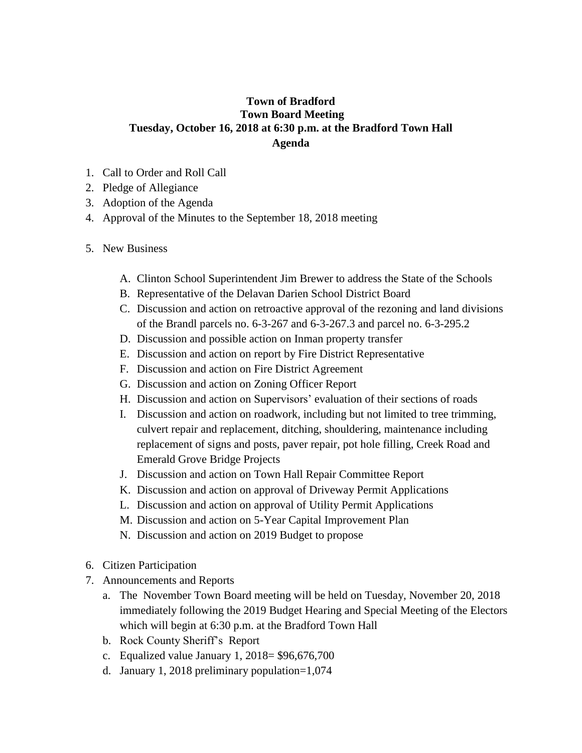## **Town of Bradford Town Board Meeting Tuesday, October 16, 2018 at 6:30 p.m. at the Bradford Town Hall Agenda**

- 1. Call to Order and Roll Call
- 2. Pledge of Allegiance
- 3. Adoption of the Agenda
- 4. Approval of the Minutes to the September 18, 2018 meeting
- 5. New Business
	- A. Clinton School Superintendent Jim Brewer to address the State of the Schools
	- B. Representative of the Delavan Darien School District Board
	- C. Discussion and action on retroactive approval of the rezoning and land divisions of the Brandl parcels no. 6-3-267 and 6-3-267.3 and parcel no. 6-3-295.2
	- D. Discussion and possible action on Inman property transfer
	- E. Discussion and action on report by Fire District Representative
	- F. Discussion and action on Fire District Agreement
	- G. Discussion and action on Zoning Officer Report
	- H. Discussion and action on Supervisors' evaluation of their sections of roads
	- I. Discussion and action on roadwork, including but not limited to tree trimming, culvert repair and replacement, ditching, shouldering, maintenance including replacement of signs and posts, paver repair, pot hole filling, Creek Road and Emerald Grove Bridge Projects
	- J. Discussion and action on Town Hall Repair Committee Report
	- K. Discussion and action on approval of Driveway Permit Applications
	- L. Discussion and action on approval of Utility Permit Applications
	- M. Discussion and action on 5-Year Capital Improvement Plan
	- N. Discussion and action on 2019 Budget to propose
- 6. Citizen Participation
- 7. Announcements and Reports
	- a. The November Town Board meeting will be held on Tuesday, November 20, 2018 immediately following the 2019 Budget Hearing and Special Meeting of the Electors which will begin at 6:30 p.m. at the Bradford Town Hall
	- b. Rock County Sheriff's Report
	- c. Equalized value January 1, 2018= \$96,676,700
	- d. January 1, 2018 preliminary population=1,074